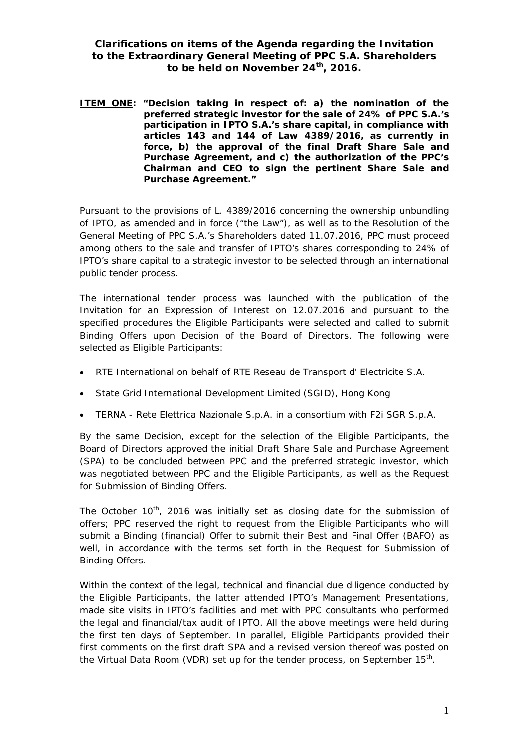## **Clarifications on items of the Agenda regarding the Invitation to the Extraordinary General Meeting of PPC S.A. Shareholders to be held on November 24th, 2016.**

**ITEM ONE: "Decision taking in respect of: a) the nomination of the preferred strategic investor for the sale of 24% of PPC S.A.'s participation in IPTO S.A.'s share capital, in compliance with articles 143 and 144 of Law 4389/2016, as currently in force, b) the approval of the final Draft Share Sale and Purchase Agreement, and c) the authorization of the PPC's Chairman and CEO to sign the pertinent Share Sale and Purchase Agreement."** 

Pursuant to the provisions of L. 4389/2016 concerning the ownership unbundling of IPTO, as amended and in force ("the Law"), as well as to the Resolution of the General Meeting of PPC S.A.'s Shareholders dated 11.07.2016, PPC must proceed among others to the sale and transfer of IPTO's shares corresponding to 24% of IPTO's share capital to a strategic investor to be selected through an international public tender process.

The international tender process was launched with the publication of the Invitation for an Expression of Interest on 12.07.2016 and pursuant to the specified procedures the Eligible Participants were selected and called to submit Binding Offers upon Decision of the Board of Directors. The following were selected as Eligible Participants:

- x RTE International on behalf of RTE Reseau de Transport d' Electricite S.A.
- State Grid International Development Limited (SGID), Hong Kong
- **EXALG** Rete Elettrica Nazionale S.p.A. in a consortium with F2i SGR S.p.A.

By the same Decision, except for the selection of the Eligible Participants, the Board of Directors approved the initial Draft Share Sale and Purchase Agreement (SPA) to be concluded between PPC and the preferred strategic investor, which was negotiated between PPC and the Eligible Participants, as well as the Request for Submission of Binding Offers.

The October 10<sup>th</sup>, 2016 was initially set as closing date for the submission of offers; PPC reserved the right to request from the Eligible Participants who will submit a Binding (financial) Offer to submit their Best and Final Offer (BAFO) as well, in accordance with the terms set forth in the Request for Submission of Binding Offers.

Within the context of the legal, technical and financial due diligence conducted by the Eligible Participants, the latter attended IPTO's Management Presentations, made site visits in IPTO's facilities and met with PPC consultants who performed the legal and financial/tax audit of IPTO. All the above meetings were held during the first ten days of September. In parallel, Eligible Participants provided their first comments on the first draft SPA and a revised version thereof was posted on the Virtual Data Room (VDR) set up for the tender process, on September 15<sup>th</sup>.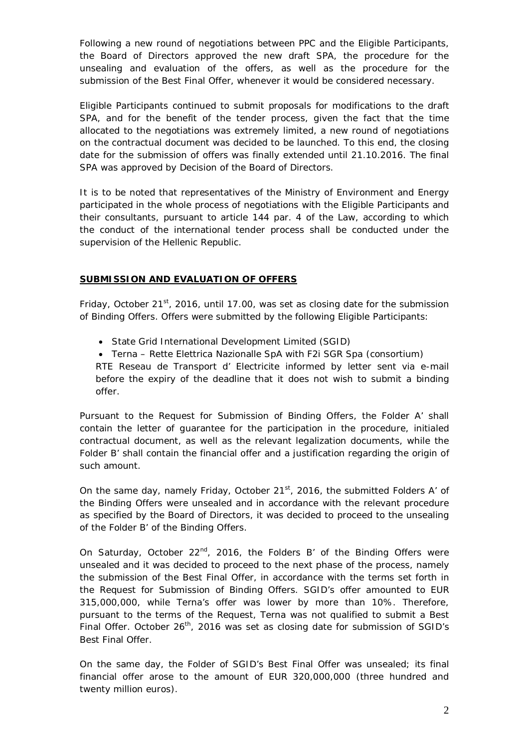Following a new round of negotiations between PPC and the Eligible Participants, the Board of Directors approved the new draft SPA, the procedure for the unsealing and evaluation of the offers, as well as the procedure for the submission of the Best Final Offer, whenever it would be considered necessary.

Eligible Participants continued to submit proposals for modifications to the draft SPA, and for the benefit of the tender process, given the fact that the time allocated to the negotiations was extremely limited, a new round of negotiations on the contractual document was decided to be launched. To this end, the closing date for the submission of offers was finally extended until 21.10.2016. The final SPA was approved by Decision of the Board of Directors.

It is to be noted that representatives of the Ministry of Environment and Energy participated in the whole process of negotiations with the Eligible Participants and their consultants, pursuant to article 144 par. 4 of the Law, according to which the conduct of the international tender process shall be conducted under the supervision of the Hellenic Republic.

## **SUBMISSION AND EVALUATION OF OFFERS**

Friday, October 21 $st$ , 2016, until 17.00, was set as closing date for the submission of Binding Offers. Offers were submitted by the following Eligible Participants:

- State Grid International Development Limited (SGID)
- Terna Rette Elettrica Nazionalle SpA with F2i SGR Spa (consortium)

RTE Reseau de Transport d' Electricite informed by letter sent via e-mail before the expiry of the deadline that it does not wish to submit a binding offer.

Pursuant to the Request for Submission of Binding Offers, the Folder A' shall contain the letter of guarantee for the participation in the procedure, initialed contractual document, as well as the relevant legalization documents, while the Folder B' shall contain the financial offer and a justification regarding the origin of such amount.

On the same day, namely Friday, October 21 $<sup>st</sup>$ , 2016, the submitted Folders A' of</sup> the Binding Offers were unsealed and in accordance with the relevant procedure as specified by the Board of Directors, it was decided to proceed to the unsealing of the Folder B' of the Binding Offers.

On Saturday, October 22<sup>nd</sup>, 2016, the Folders B' of the Binding Offers were unsealed and it was decided to proceed to the next phase of the process, namely the submission of the Best Final Offer, in accordance with the terms set forth in the Request for Submission of Binding Offers. SGID's offer amounted to EUR 315,000,000, while Terna's offer was lower by more than 10%. Therefore, pursuant to the terms of the Request, Terna was not qualified to submit a Best Final Offer. October  $26<sup>th</sup>$ , 2016 was set as closing date for submission of SGID's Best Final Offer.

On the same day, the Folder of SGID's Best Final Offer was unsealed; its final financial offer arose to the amount of EUR 320,000,000 (three hundred and twenty million euros).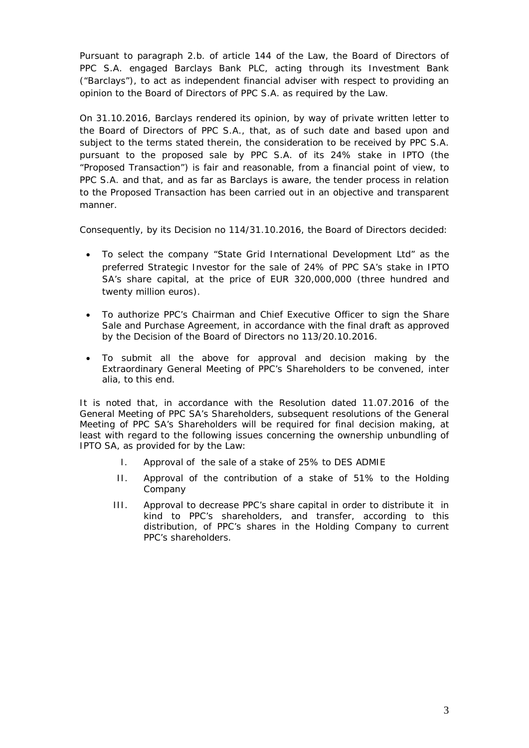Pursuant to paragraph 2.b. of article 144 of the Law, the Board of Directors of PPC S.A. engaged Barclays Bank PLC, acting through its Investment Bank ("Barclays"), to act as independent financial adviser with respect to providing an opinion to the Board of Directors of PPC S.A. as required by the Law.

On 31.10.2016, Barclays rendered its opinion, by way of private written letter to the Board of Directors of PPC S.A., that, as of such date and based upon and subject to the terms stated therein, the consideration to be received by PPC S.A. pursuant to the proposed sale by PPC S.A. of its 24% stake in IPTO (the "Proposed Transaction") is fair and reasonable, from a financial point of view, to PPC S.A. and that, and as far as Barclays is aware, the tender process in relation to the Proposed Transaction has been carried out in an objective and transparent manner.

Consequently, by its Decision no 114/31.10.2016, the Board of Directors decided:

- To select the company "State Grid International Development Ltd" as the preferred Strategic Investor for the sale of 24% of PPC SA's stake in IPTO SA's share capital, at the price of EUR 320,000,000 (three hundred and twenty million euros).
- To authorize PPC's Chairman and Chief Executive Officer to sign the Share Sale and Purchase Agreement, in accordance with the final draft as approved by the Decision of the Board of Directors no 113/20.10.2016.
- To submit all the above for approval and decision making by the Extraordinary General Meeting of PPC's Shareholders to be convened, inter alia, to this end.

It is noted that, in accordance with the Resolution dated 11.07.2016 of the General Meeting of PPC SA's Shareholders, subsequent resolutions of the General Meeting of PPC SA's Shareholders will be required for final decision making, at least with regard to the following issues concerning the ownership unbundling of IPTO SA, as provided for by the Law:

- I. Approval of the sale of a stake of 25% to DES ADMIE
- II. Approval of the contribution of a stake of 51% to the Holding Company
- III. Approval to decrease PPC's share capital in order to distribute it in kind to PPC's shareholders, and transfer, according to this distribution, of PPC's shares in the Holding Company to current PPC's shareholders.